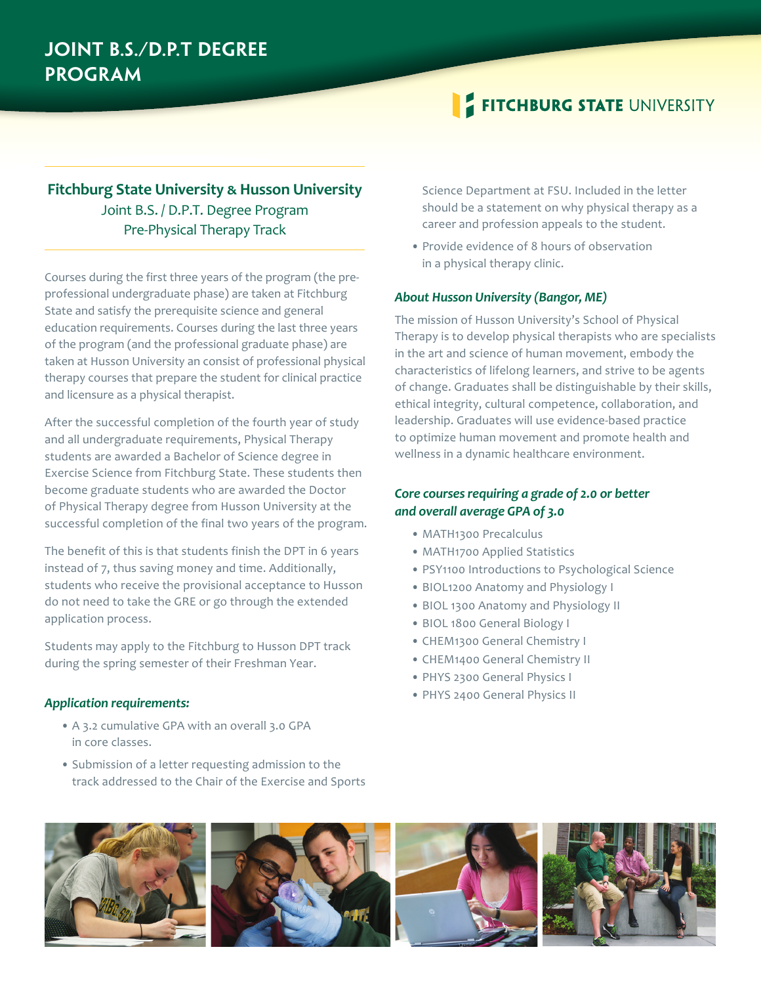## **Joint B.S./D.P.T Degree Program**

# **FITCHBURG STATE UNIVERSITY**

### **Fitchburg State University � Husson University** Joint B.S. / D.P.T. Degree Program Pre-Physical Therapy Track

Courses during the first three years of the program (the preprofessional undergraduate phase) are taken at Fitchburg State and satisfy the prerequisite science and general education requirements. Courses during the last three years of the program (and the professional graduate phase) are taken at Husson University an consist of professional physical therapy courses that prepare the student for clinical practice and licensure as a physical therapist.

After the successful completion of the fourth year of study and all undergraduate requirements, Physical Therapy students are awarded a Bachelor of Science degree in Exercise Science from Fitchburg State. These students then become graduate students who are awarded the Doctor of Physical Therapy degree from Husson University at the successful completion of the final two years of the program.

The benefit of this is that students finish the DPT in 6 years instead of 7, thus saving money and time. Additionally, students who receive the provisional acceptance to Husson do not need to take the GRE or go through the extended application process.

Students may apply to the Fitchburg to Husson DPT track during the spring semester of their Freshman Year.

#### *Application requirements:*

- A 3.2 cumulative GPA with an overall 3.0 GPA in core classes.
- Submission of a letter requesting admission to the track addressed to the Chair of the Exercise and Sports

Science Department at FSU. Included in the letter should be a statement on why physical therapy as a career and profession appeals to the student.

• Provide evidence of 8 hours of observation in a physical therapy clinic.

#### *About Husson University (Bangor, ME)*

The mission of Husson University's School of Physical Therapy is to develop physical therapists who are specialists in the art and science of human movement, embody the characteristics of lifelong learners, and strive to be agents of change. Graduates shall be distinguishable by their skills, ethical integrity, cultural competence, collaboration, and leadership. Graduates will use evidence-based practice to optimize human movement and promote health and wellness in a dynamic healthcare environment.

### *Core courses requiring a grade of 2.0 or better and overall average GPA of 3.0*

- MATH1300 Precalculus
- MATH1700 Applied Statistics
- PSY1100 Introductions to Psychological Science
- BIOL1200 Anatomy and Physiology I
- BIOL 1300 Anatomy and Physiology II
- BIOL 1800 General Biology I
- CHEM1300 General Chemistry I
- CHEM1400 General Chemistry II
- PHYS 2300 General Physics I
- PHYS 2400 General Physics II